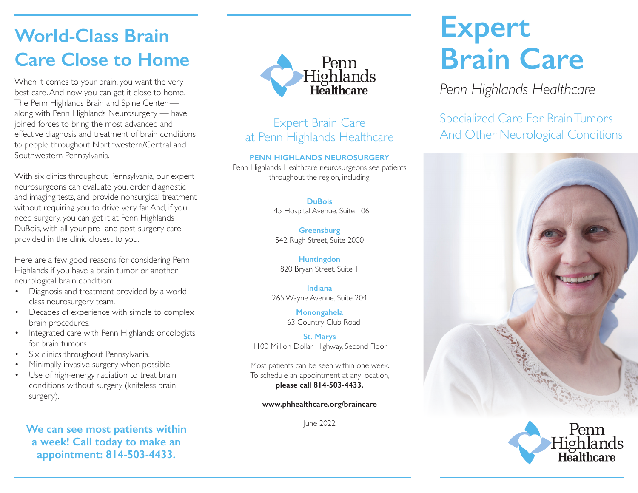### **World-Class Brain Care Close to Home**

best care. And now you can get it close to home. The Penn Highlands Brain and Spine Center along with Penn Highlands Neurosurgery — have joined forces to bring the most advanced and effective diagnosis and treatment of brain conditions to people throughout Northwestern/Central and Southwestern Pennsylvania.

With six clinics throughout Pennsylvania, our expert neurosurgeons can evaluate you, order diagnostic and imaging tests, and provide nonsurgical treatment without requiring you to drive very far. And, if you need surgery, you can get it at Penn Highlands DuBois, with all your pre- and post-surgery care provided in the clinic closest to you.

Here are a few good reasons for considering Penn Highlands if you have a brain tumor or another neurological brain condition:

- Diagnosis and treatment provided by a worldclass neurosurgery team.
- Decades of experience with simple to complex brain procedures.
- Integrated care with Penn Highlands oncologists for brain tumor.s
- Six clinics throughout Pennsylvania.
- Minimally invasive surgery when possible
- Use of high-energy radiation to treat brain conditions without surgery (knifeless brain surgery).

**We can see most patients within a week! Call today to make an appointment: 814-503-4433.**



## at Penn Highlands Healthcare

#### **PENN HIGHLANDS NEUROSURGERY**

Penn Highlands Healthcare neurosurgeons see patients throughout the region, including:

#### **DuBois**

145 Hospital Avenue, Suite 106

**Greensburg** 542 Rugh Street, Suite 2000

**Huntingdon** 820 Bryan Street, Suite 1

**Indiana** 265 Wayne Avenue, Suite 204

**Monongahela** 1163 Country Club Road

**St. Marys** 1100 Million Dollar Highway, Second Floor

Most patients can be seen within one week. To schedule an appointment at any location, **please call 814-503-4433.**

#### **www.phhealthcare.org/braincare**

June 2022

# **Expert Brain Care**

Specialized Care For Brain Tumors Expert Brain Care For Brain Iumors<br>And Other Neurological Conditions And Other Neurological Conditions